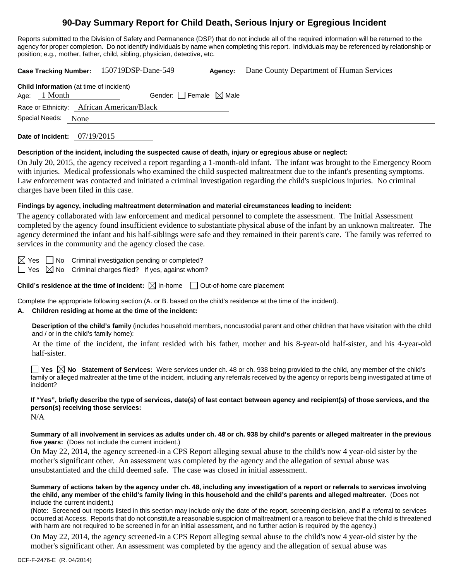# **90-Day Summary Report for Child Death, Serious Injury or Egregious Incident**

Reports submitted to the Division of Safety and Permanence (DSP) that do not include all of the required information will be returned to the agency for proper completion. Do not identify individuals by name when completing this report. Individuals may be referenced by relationship or position; e.g., mother, father, child, sibling, physician, detective, etc.

**Case Tracking Number:** 150719DSP-Dane-549 **Agency:** Dane County Department of Human Services

| <b>Child Information</b> (at time of incident) |              |                                 |  |  |  |  |
|------------------------------------------------|--------------|---------------------------------|--|--|--|--|
|                                                | Age: 1 Month | Gender: Female $\boxtimes$ Male |  |  |  |  |
| Race or Ethnicity: African American/Black      |              |                                 |  |  |  |  |
| Special Needs: None                            |              |                                 |  |  |  |  |

**Date of Incident:** 07/19/2015

#### **Description of the incident, including the suspected cause of death, injury or egregious abuse or neglect:**

On July 20, 2015, the agency received a report regarding a 1-month-old infant. The infant was brought to the Emergency Room with injuries. Medical professionals who examined the child suspected maltreatment due to the infant's presenting symptoms. Law enforcement was contacted and initiated a criminal investigation regarding the child's suspicious injuries. No criminal charges have been filed in this case.

#### **Findings by agency, including maltreatment determination and material circumstances leading to incident:**

The agency collaborated with law enforcement and medical personnel to complete the assessment. The Initial Assessment completed by the agency found insufficient evidence to substantiate physical abuse of the infant by an unknown maltreater. The agency determined the infant and his half-siblings were safe and they remained in their parent's care. The family was referred to services in the community and the agency closed the case.

 $\boxtimes$  Yes  $\Box$  No Criminal investigation pending or completed?  $\Box$  Yes  $\boxtimes$  No Criminal charges filed? If yes, against whom?

**Child's residence at the time of incident:**  $\boxtimes$  In-home  $\Box$  Out-of-home care placement

Complete the appropriate following section (A. or B. based on the child's residence at the time of the incident).

## **A. Children residing at home at the time of the incident:**

**Description of the child's family** (includes household members, noncustodial parent and other children that have visitation with the child and / or in the child's family home):

 At the time of the incident, the infant resided with his father, mother and his 8-year-old half-sister, and his 4-year-old half-sister.

**Yes**  $\boxtimes$  **No** Statement of Services: Were services under ch. 48 or ch. 938 being provided to the child, any member of the child's family or alleged maltreater at the time of the incident, including any referrals received by the agency or reports being investigated at time of incident?

**If "Yes", briefly describe the type of services, date(s) of last contact between agency and recipient(s) of those services, and the person(s) receiving those services:** 

N/A

**Summary of all involvement in services as adults under ch. 48 or ch. 938 by child's parents or alleged maltreater in the previous five years:** (Does not include the current incident.)

On May 22, 2014, the agency screened-in a CPS Report alleging sexual abuse to the child's now 4 year-old sister by the mother's significant other. An assessment was completed by the agency and the allegation of sexual abuse was unsubstantiated and the child deemed safe. The case was closed in initial assessment.

**Summary of actions taken by the agency under ch. 48, including any investigation of a report or referrals to services involving the child, any member of the child's family living in this household and the child's parents and alleged maltreater.** (Does not include the current incident.)

(Note: Screened out reports listed in this section may include only the date of the report, screening decision, and if a referral to services occurred at Access. Reports that do not constitute a reasonable suspicion of maltreatment or a reason to believe that the child is threatened with harm are not required to be screened in for an initial assessment, and no further action is required by the agency.)

On May 22, 2014, the agency screened-in a CPS Report alleging sexual abuse to the child's now 4 year-old sister by the mother's significant other. An assessment was completed by the agency and the allegation of sexual abuse was